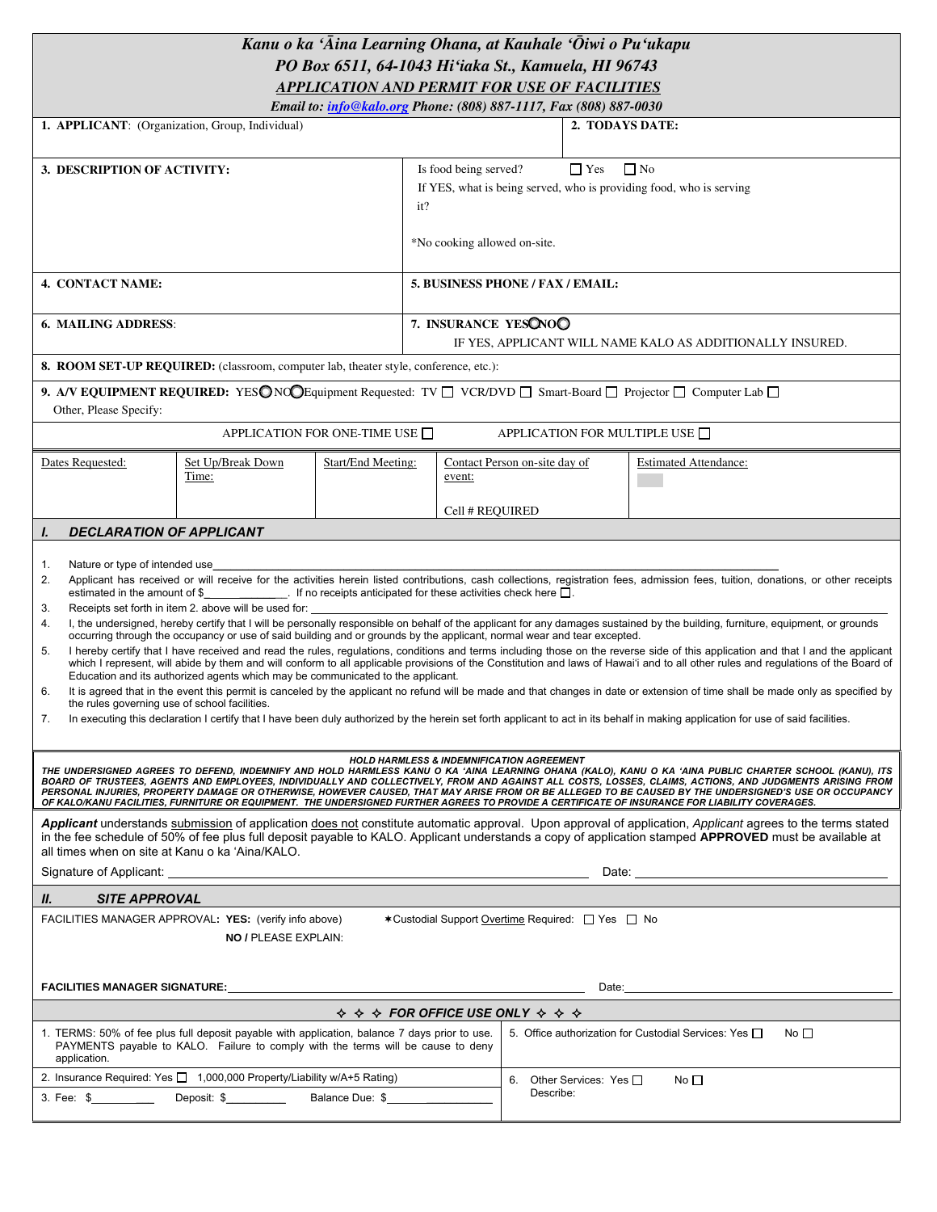# *Kanu o ka ÿÄina Learning Ohana, at Kauhale ÿÖiwi o Puÿukapu PO Box 6511, 64-1043 Hiÿiaka St., Kamuela, HI 96743 APPLICATION AND PERMIT FOR USE OF FACILITIES*

| Email to: info@kalo.org Phone: (808) 887-1117, Fax (808) 887-0030                                                                                                                                                                                                                                                                                                                                                                                                                                                                                                                                                                                                                                                                                                                                                                                                                                                                                                                                                                                                                                                                                                                                                                                                                                                                                                                                                                                                                                                                                                                                                                          |                                                                                      |                                                                                       |                                                                                                                                                                |                                                                            |                                                       |                                                                                                                                                                                                                                      |
|--------------------------------------------------------------------------------------------------------------------------------------------------------------------------------------------------------------------------------------------------------------------------------------------------------------------------------------------------------------------------------------------------------------------------------------------------------------------------------------------------------------------------------------------------------------------------------------------------------------------------------------------------------------------------------------------------------------------------------------------------------------------------------------------------------------------------------------------------------------------------------------------------------------------------------------------------------------------------------------------------------------------------------------------------------------------------------------------------------------------------------------------------------------------------------------------------------------------------------------------------------------------------------------------------------------------------------------------------------------------------------------------------------------------------------------------------------------------------------------------------------------------------------------------------------------------------------------------------------------------------------------------|--------------------------------------------------------------------------------------|---------------------------------------------------------------------------------------|----------------------------------------------------------------------------------------------------------------------------------------------------------------|----------------------------------------------------------------------------|-------------------------------------------------------|--------------------------------------------------------------------------------------------------------------------------------------------------------------------------------------------------------------------------------------|
| 1. APPLICANT: (Organization, Group, Individual)                                                                                                                                                                                                                                                                                                                                                                                                                                                                                                                                                                                                                                                                                                                                                                                                                                                                                                                                                                                                                                                                                                                                                                                                                                                                                                                                                                                                                                                                                                                                                                                            |                                                                                      |                                                                                       |                                                                                                                                                                |                                                                            | 2. TODAYS DATE:                                       |                                                                                                                                                                                                                                      |
| 3. DESCRIPTION OF ACTIVITY:                                                                                                                                                                                                                                                                                                                                                                                                                                                                                                                                                                                                                                                                                                                                                                                                                                                                                                                                                                                                                                                                                                                                                                                                                                                                                                                                                                                                                                                                                                                                                                                                                |                                                                                      |                                                                                       | Is food being served?<br>$\Box$ Yes<br>$\Box$ No<br>If YES, what is being served, who is providing food, who is serving<br>it?<br>*No cooking allowed on-site. |                                                                            |                                                       |                                                                                                                                                                                                                                      |
| 4. CONTACT NAME:                                                                                                                                                                                                                                                                                                                                                                                                                                                                                                                                                                                                                                                                                                                                                                                                                                                                                                                                                                                                                                                                                                                                                                                                                                                                                                                                                                                                                                                                                                                                                                                                                           |                                                                                      |                                                                                       | 5. BUSINESS PHONE / FAX / EMAIL:                                                                                                                               |                                                                            |                                                       |                                                                                                                                                                                                                                      |
| <b>6. MAILING ADDRESS:</b>                                                                                                                                                                                                                                                                                                                                                                                                                                                                                                                                                                                                                                                                                                                                                                                                                                                                                                                                                                                                                                                                                                                                                                                                                                                                                                                                                                                                                                                                                                                                                                                                                 |                                                                                      |                                                                                       | 7. INSURANCE YESONOO<br>IF YES, APPLICANT WILL NAME KALO AS ADDITIONALLY INSURED.                                                                              |                                                                            |                                                       |                                                                                                                                                                                                                                      |
|                                                                                                                                                                                                                                                                                                                                                                                                                                                                                                                                                                                                                                                                                                                                                                                                                                                                                                                                                                                                                                                                                                                                                                                                                                                                                                                                                                                                                                                                                                                                                                                                                                            | 8. ROOM SET-UP REQUIRED: (classroom, computer lab, theater style, conference, etc.): |                                                                                       |                                                                                                                                                                |                                                                            |                                                       |                                                                                                                                                                                                                                      |
| Other, Please Specify:                                                                                                                                                                                                                                                                                                                                                                                                                                                                                                                                                                                                                                                                                                                                                                                                                                                                                                                                                                                                                                                                                                                                                                                                                                                                                                                                                                                                                                                                                                                                                                                                                     |                                                                                      |                                                                                       |                                                                                                                                                                |                                                                            |                                                       | 9. A/V EQUIPMENT REQUIRED: YESONO Equipment Requested: TV $\Box$ VCR/DVD $\Box$ Smart-Board $\Box$ Projector $\Box$ Computer Lab $\Box$                                                                                              |
|                                                                                                                                                                                                                                                                                                                                                                                                                                                                                                                                                                                                                                                                                                                                                                                                                                                                                                                                                                                                                                                                                                                                                                                                                                                                                                                                                                                                                                                                                                                                                                                                                                            |                                                                                      | APPLICATION FOR ONE-TIME USE $\Box$                                                   |                                                                                                                                                                |                                                                            |                                                       | APPLICATION FOR MULTIPLE USE $\Box$                                                                                                                                                                                                  |
| Dates Requested:<br>Set Up/Break Down<br>Time:                                                                                                                                                                                                                                                                                                                                                                                                                                                                                                                                                                                                                                                                                                                                                                                                                                                                                                                                                                                                                                                                                                                                                                                                                                                                                                                                                                                                                                                                                                                                                                                             |                                                                                      | Start/End Meeting:                                                                    | Contact Person on-site day of<br>event:                                                                                                                        |                                                                            |                                                       | <b>Estimated Attendance:</b>                                                                                                                                                                                                         |
|                                                                                                                                                                                                                                                                                                                                                                                                                                                                                                                                                                                                                                                                                                                                                                                                                                                                                                                                                                                                                                                                                                                                                                                                                                                                                                                                                                                                                                                                                                                                                                                                                                            |                                                                                      |                                                                                       | Cell # REQUIRED                                                                                                                                                |                                                                            |                                                       |                                                                                                                                                                                                                                      |
| <b>DECLARATION OF APPLICANT</b><br>I.                                                                                                                                                                                                                                                                                                                                                                                                                                                                                                                                                                                                                                                                                                                                                                                                                                                                                                                                                                                                                                                                                                                                                                                                                                                                                                                                                                                                                                                                                                                                                                                                      |                                                                                      |                                                                                       |                                                                                                                                                                |                                                                            |                                                       |                                                                                                                                                                                                                                      |
| Nature or type of intended use<br>1.<br>Applicant has received or will receive for the activities herein listed contributions, cash collections, registration fees, admission fees, tuition, donations, or other receipts<br>2.<br>estimated in the amount of $\frac{1}{2}$ if no receipts anticipated for these activities check here $\Box$ .<br>Receipts set forth in item 2. above will be used for:<br>3.<br>I, the undersigned, hereby certify that I will be personally responsible on behalf of the applicant for any damages sustained by the building, furniture, equipment, or grounds<br>4.<br>occurring through the occupancy or use of said building and or grounds by the applicant, normal wear and tear excepted.<br>I hereby certify that I have received and read the rules, regulations, conditions and terms including those on the reverse side of this application and that I and the applicant<br>5.<br>which I represent, will abide by them and will conform to all applicable provisions of the Constitution and laws of Hawai'i and to all other rules and regulations of the Board of<br>Education and its authorized agents which may be communicated to the applicant.<br>It is agreed that in the event this permit is canceled by the applicant no refund will be made and that changes in date or extension of time shall be made only as specified by<br>6.<br>the rules governing use of school facilities.<br>In executing this declaration I certify that I have been duly authorized by the herein set forth applicant to act in its behalf in making application for use of said facilities.<br>7. |                                                                                      |                                                                                       |                                                                                                                                                                |                                                                            |                                                       |                                                                                                                                                                                                                                      |
| <b>HOLD HARMLESS &amp; INDEMNIFICATION AGREEMENT</b><br>THE UNDERSIGNED AGREES TO DEFEND, INDEMNIFY AND HOLD HARMLESS KANU O KA 'AINA LEARNING OHANA (KALO), KANU O KA 'AINA PUBLIC CHARTER SCHOOL (KANU), ITS<br>BOARD OF TRUSTEES, AGENTS AND EMPLOYEES, INDIVIDUALLY AND COLLECTIVELY, FROM AND AGAINST ALL COSTS, LOSSES, CLAIMS, ACTIONS, AND JUDGMENTS ARISING FROM<br>PERSONAL INJURIES, PROPERTY DAMAGE OR OTHERWISE, HOWEVER CAUSED, THAT MAY ARISE FROM OR BE ALLEGED TO BE CAUSED BY THE UNDERSIGNED'S USE OR OCCUPANCY<br>OF KALO/KANU FACILITIES, FURNITURE OR EQUIPMENT. THE UNDERSIGNED FURTHER AGREES TO PROVIDE A CERTIFICATE OF INSURANCE FOR LIABILITY COVERAGES.                                                                                                                                                                                                                                                                                                                                                                                                                                                                                                                                                                                                                                                                                                                                                                                                                                                                                                                                                       |                                                                                      |                                                                                       |                                                                                                                                                                |                                                                            |                                                       |                                                                                                                                                                                                                                      |
| Applicant understands submission of application does not constitute automatic approval. Upon approval of application, Applicant agrees to the terms stated<br>in the fee schedule of 50% of fee plus full deposit payable to KALO. Applicant understands a copy of application stamped APPROVED must be available at<br>all times when on site at Kanu o ka 'Aina/KALO.<br>Signature of Applicant:<br><u> 1989 - Andrea Stadt Britain, amerikansk politik (</u>                                                                                                                                                                                                                                                                                                                                                                                                                                                                                                                                                                                                                                                                                                                                                                                                                                                                                                                                                                                                                                                                                                                                                                            |                                                                                      |                                                                                       |                                                                                                                                                                |                                                                            |                                                       |                                                                                                                                                                                                                                      |
| <b>SITE APPROVAL</b><br>Ш.                                                                                                                                                                                                                                                                                                                                                                                                                                                                                                                                                                                                                                                                                                                                                                                                                                                                                                                                                                                                                                                                                                                                                                                                                                                                                                                                                                                                                                                                                                                                                                                                                 |                                                                                      |                                                                                       |                                                                                                                                                                |                                                                            |                                                       |                                                                                                                                                                                                                                      |
| <b>*Custodial Support Overtime Required:</b> □ Yes □ No<br>FACILITIES MANAGER APPROVAL: YES: (verify info above)<br><b>NO / PLEASE EXPLAIN:</b>                                                                                                                                                                                                                                                                                                                                                                                                                                                                                                                                                                                                                                                                                                                                                                                                                                                                                                                                                                                                                                                                                                                                                                                                                                                                                                                                                                                                                                                                                            |                                                                                      |                                                                                       |                                                                                                                                                                |                                                                            |                                                       |                                                                                                                                                                                                                                      |
| FACILITIES MANAGER SIGNATURE: UNIVERSITY OF A SERIES AND RESERVE THE RESERVE THAT A STATE OF A STATE OF A STATE OF A STATE OF A STATE OF A STATE OF A STATE OF A STATE OF A STATE OF A STATE OF A STATE OF A STATE OF A STATE                                                                                                                                                                                                                                                                                                                                                                                                                                                                                                                                                                                                                                                                                                                                                                                                                                                                                                                                                                                                                                                                                                                                                                                                                                                                                                                                                                                                              |                                                                                      |                                                                                       |                                                                                                                                                                |                                                                            |                                                       | Date: <u>contract and a series of the series of the series of the series of the series of the series of the series of the series of the series of the series of the series of the series of the series of the series of the seri</u> |
|                                                                                                                                                                                                                                                                                                                                                                                                                                                                                                                                                                                                                                                                                                                                                                                                                                                                                                                                                                                                                                                                                                                                                                                                                                                                                                                                                                                                                                                                                                                                                                                                                                            |                                                                                      | $\diamond$ $\diamond$ $\diamond$ FOR OFFICE USE ONLY $\diamond$ $\diamond$ $\diamond$ |                                                                                                                                                                |                                                                            |                                                       |                                                                                                                                                                                                                                      |
| 1. TERMS: 50% of fee plus full deposit payable with application, balance 7 days prior to use.<br>PAYMENTS payable to KALO. Failure to comply with the terms will be cause to deny<br>application.                                                                                                                                                                                                                                                                                                                                                                                                                                                                                                                                                                                                                                                                                                                                                                                                                                                                                                                                                                                                                                                                                                                                                                                                                                                                                                                                                                                                                                          |                                                                                      |                                                                                       |                                                                                                                                                                | 5. Office authorization for Custodial Services: Yes $\Box$<br>No $\square$ |                                                       |                                                                                                                                                                                                                                      |
| 2. Insurance Required: Yes □ 1,000,000 Property/Liability w/A+5 Rating)<br>3. Fee: \$ _____________ Deposit: \$ __________ Balance Due: \$                                                                                                                                                                                                                                                                                                                                                                                                                                                                                                                                                                                                                                                                                                                                                                                                                                                                                                                                                                                                                                                                                                                                                                                                                                                                                                                                                                                                                                                                                                 |                                                                                      |                                                                                       |                                                                                                                                                                |                                                                            | 6. Other Services: Yes O<br>No $\square$<br>Describe: |                                                                                                                                                                                                                                      |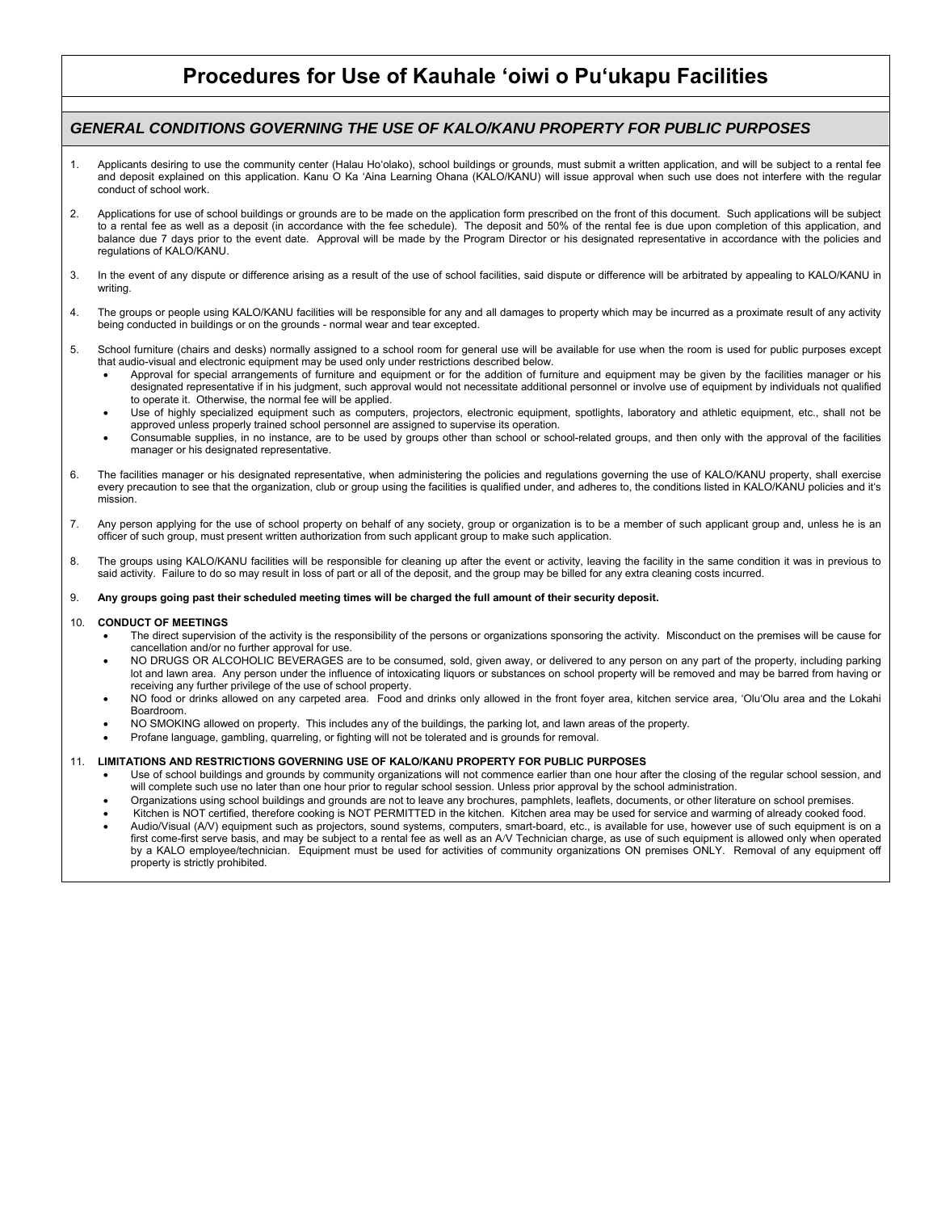# **Procedures for Use of Kauhale ʻoiwi o Puʻukapu Facilities**

### *GENERAL CONDITIONS GOVERNING THE USE OF KALO/KANU PROPERTY FOR PUBLIC PURPOSES*

- 1. Applicants desiring to use the community center (Halau Hoʻolako), school buildings or grounds, must submit a written application, and will be subject to a rental fee and deposit explained on this application. Kanu O Ka 'Aina Learning Ohana (KALO/KANU) will issue approval when such use does not interfere with the regular conduct of school work.
- 2. Applications for use of school buildings or grounds are to be made on the application form prescribed on the front of this document. Such applications will be subject<br>to a rental fee as well as a deposit (in accordance balance due 7 days prior to the event date. Approval will be made by the Program Director or his designated representative in accordance with the policies and regulations of KALO/KANU.
- 3. In the event of any dispute or difference arising as a result of the use of school facilities, said dispute or difference will be arbitrated by appealing to KALO/KANU in writing.
- 4. The groups or people using KALO/KANU facilities will be responsible for any and all damages to property which may be incurred as a proximate result of any activity being conducted in buildings or on the grounds - normal wear and tear excepted.
- 5. School furniture (chairs and desks) normally assigned to a school room for general use will be available for use when the room is used for public purposes except that audio-visual and electronic equipment may be used only under restrictions described below.
	- Approval for special arrangements of furniture and equipment or for the addition of furniture and equipment may be given by the facilities manager or his designated representative if in his judgment, such approval would not necessitate additional personnel or involve use of equipment by individuals not qualified to operate it. Otherwise, the normal fee will be applied.
	- Use of highly specialized equipment such as computers, projectors, electronic equipment, spotlights, laboratory and athletic equipment, etc., shall not be approved unless properly trained school personnel are assigned to supervise its operation.
	- Consumable supplies, in no instance, are to be used by groups other than school or school-related groups, and then only with the approval of the facilities manager or his designated representative.
- 6. The facilities manager or his designated representative, when administering the policies and regulations governing the use of KALO/KANU property, shall exercise every precaution to see that the organization, club or group using the facilities is qualified under, and adheres to, the conditions listed in KALO/KANU policies and itʻs mission.
- 7. Any person applying for the use of school property on behalf of any society, group or organization is to be a member of such applicant group and, unless he is an officer of such group, must present written authorization from such applicant group to make such application.
- 8. The groups using KALO/KANU facilities will be responsible for cleaning up after the event or activity, leaving the facility in the same condition it was in previous to said activity. Failure to do so may result in loss of part or all of the deposit, and the group may be billed for any extra cleaning costs incurred.

### 9. **Any groups going past their scheduled meeting times will be charged the full amount of their security deposit.**

#### 10. **CONDUCT OF MEETINGS**

- The direct supervision of the activity is the responsibility of the persons or organizations sponsoring the activity. Misconduct on the premises will be cause for cancellation and/or no further approval for use.
- NO DRUGS OR ALCOHOLIC BEVERAGES are to be consumed, sold, given away, or delivered to any person on any part of the property, including parking lot and lawn area. Any person under the influence of intoxicating liquors or substances on school property will be removed and may be barred from having or receiving any further privilege of the use of school property.
- NO food or drinks allowed on any carpeted area. Food and drinks only allowed in the front foyer area, kitchen service area, ʻOluʻOlu area and the Lokahi Boardroom.
- NO SMOKING allowed on property. This includes any of the buildings, the parking lot, and lawn areas of the property.
- Profane language, gambling, quarreling, or fighting will not be tolerated and is grounds for removal.

### 11. **LIMITATIONS AND RESTRICTIONS GOVERNING USE OF KALO/KANU PROPERTY FOR PUBLIC PURPOSES**

- Use of school buildings and grounds by community organizations will not commence earlier than one hour after the closing of the regular school session, and will complete such use no later than one hour prior to regular school session. Unless prior approval by the school administration.
- Organizations using school buildings and grounds are not to leave any brochures, pamphlets, leaflets, documents, or other literature on school premises.
- Kitchen is NOT certified, therefore cooking is NOT PERMITTED in the kitchen. Kitchen area may be used for service and warming of already cooked food. Audio/Visual (A/V) equipment such as projectors, sound systems, computers, smart-board, etc., is available for use, however use of such equipment is on a first come-first serve basis, and may be subject to a rental fee as well as an A/V Technician charge, as use of such equipment is allowed only when operated
- by a KALO employee/technician. Equipment must be used for activities of community organizations ON premises ONLY. Removal of any equipment off property is strictly prohibited.